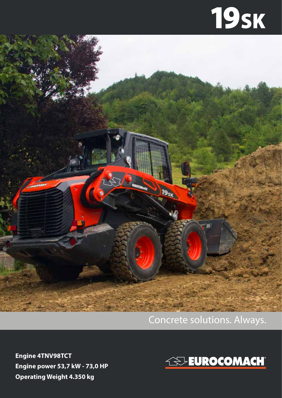## **19sk**



## Concrete solutions. Always.

**Engine 4TNV98TCT Engine power 53,7 kW - 73,0 HP Operating Weight 4.350 kg**